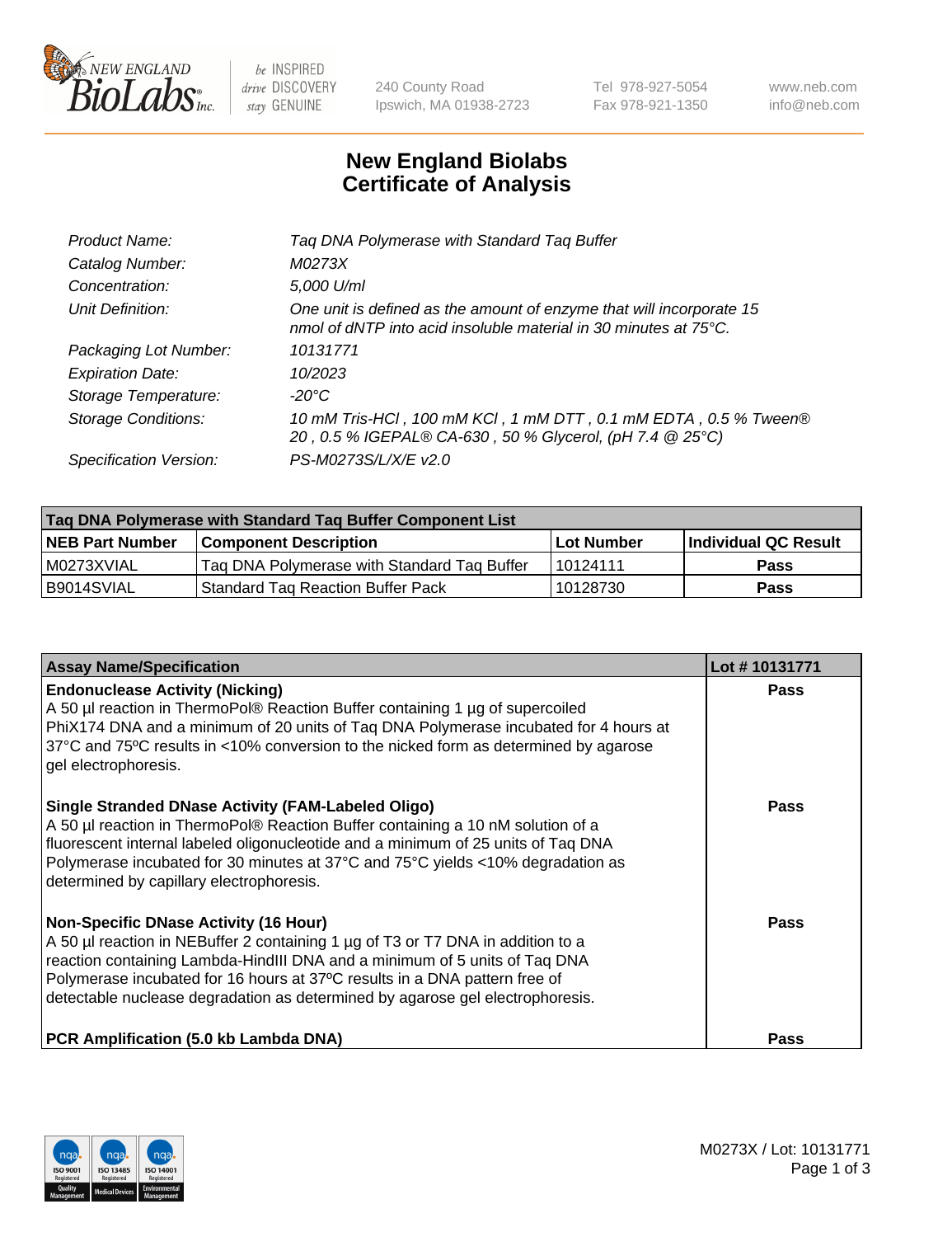

be INSPIRED drive DISCOVERY stay GENUINE

240 County Road Ipswich, MA 01938-2723 Tel 978-927-5054 Fax 978-921-1350 www.neb.com info@neb.com

## **New England Biolabs Certificate of Analysis**

| Tag DNA Polymerase with Standard Tag Buffer                                                                                              |
|------------------------------------------------------------------------------------------------------------------------------------------|
| M0273X                                                                                                                                   |
| 5,000 U/ml                                                                                                                               |
| One unit is defined as the amount of enzyme that will incorporate 15<br>nmol of dNTP into acid insoluble material in 30 minutes at 75°C. |
| 10131771                                                                                                                                 |
| 10/2023                                                                                                                                  |
| $-20^{\circ}$ C                                                                                                                          |
| 10 mM Tris-HCl, 100 mM KCl, 1 mM DTT, 0.1 mM EDTA, 0.5 % Tween®<br>20, 0.5 % IGEPAL® CA-630, 50 % Glycerol, (pH 7.4 @ 25°C)              |
| PS-M0273S/L/X/E v2.0                                                                                                                     |
|                                                                                                                                          |

| Tag DNA Polymerase with Standard Tag Buffer Component List |                                             |                   |                      |  |  |
|------------------------------------------------------------|---------------------------------------------|-------------------|----------------------|--|--|
| <b>NEB Part Number</b>                                     | Component Description_                      | <b>Lot Number</b> | Individual QC Result |  |  |
| M0273XVIAL                                                 | Tag DNA Polymerase with Standard Tag Buffer | l 10124111        | Pass                 |  |  |
| B9014SVIAL                                                 | <b>Standard Tag Reaction Buffer Pack</b>    | 10128730          | <b>Pass</b>          |  |  |

| <b>Assay Name/Specification</b>                                                                                                                                                                                                                                                                                                                                              | Lot #10131771 |
|------------------------------------------------------------------------------------------------------------------------------------------------------------------------------------------------------------------------------------------------------------------------------------------------------------------------------------------------------------------------------|---------------|
| <b>Endonuclease Activity (Nicking)</b><br>A 50 µl reaction in ThermoPol® Reaction Buffer containing 1 µg of supercoiled<br>PhiX174 DNA and a minimum of 20 units of Taq DNA Polymerase incubated for 4 hours at<br>37°C and 75°C results in <10% conversion to the nicked form as determined by agarose<br>gel electrophoresis.                                              | <b>Pass</b>   |
| <b>Single Stranded DNase Activity (FAM-Labeled Oligo)</b><br>A 50 µl reaction in ThermoPol® Reaction Buffer containing a 10 nM solution of a<br>fluorescent internal labeled oligonucleotide and a minimum of 25 units of Taq DNA<br>Polymerase incubated for 30 minutes at 37°C and 75°C yields <10% degradation as<br>determined by capillary electrophoresis.             | <b>Pass</b>   |
| <b>Non-Specific DNase Activity (16 Hour)</b><br>A 50 µl reaction in NEBuffer 2 containing 1 µg of T3 or T7 DNA in addition to a<br>reaction containing Lambda-HindIII DNA and a minimum of 5 units of Taq DNA<br>Polymerase incubated for 16 hours at 37°C results in a DNA pattern free of<br>detectable nuclease degradation as determined by agarose gel electrophoresis. | Pass          |
| PCR Amplification (5.0 kb Lambda DNA)                                                                                                                                                                                                                                                                                                                                        | <b>Pass</b>   |

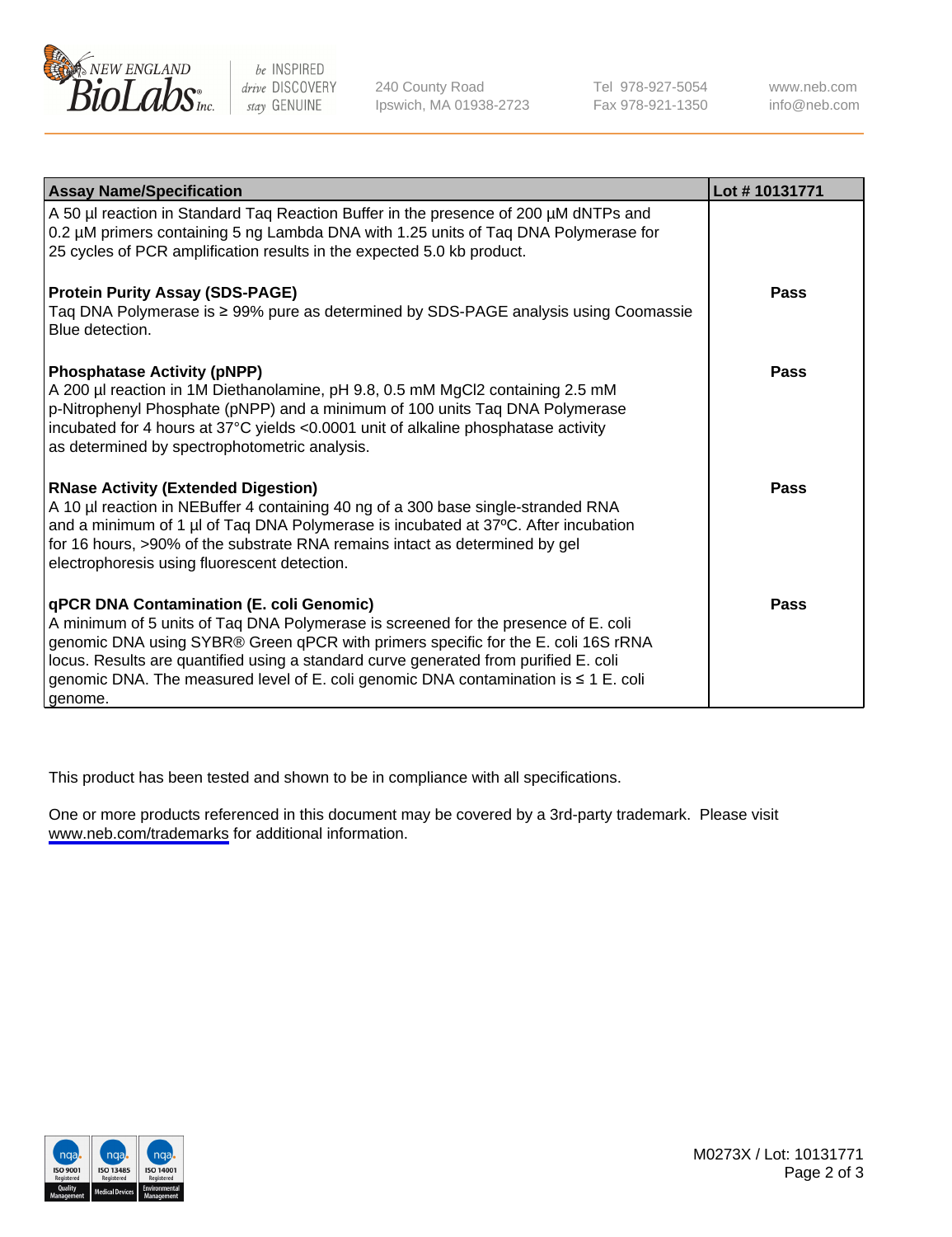

be INSPIRED drive DISCOVERY stay GENUINE

240 County Road Ipswich, MA 01938-2723 Tel 978-927-5054 Fax 978-921-1350

www.neb.com info@neb.com

| <b>Assay Name/Specification</b>                                                                                                                                                                                                                                                                                                                                                                                             | Lot #10131771 |
|-----------------------------------------------------------------------------------------------------------------------------------------------------------------------------------------------------------------------------------------------------------------------------------------------------------------------------------------------------------------------------------------------------------------------------|---------------|
| A 50 µl reaction in Standard Taq Reaction Buffer in the presence of 200 µM dNTPs and<br>0.2 µM primers containing 5 ng Lambda DNA with 1.25 units of Taq DNA Polymerase for<br>25 cycles of PCR amplification results in the expected 5.0 kb product.                                                                                                                                                                       |               |
| <b>Protein Purity Assay (SDS-PAGE)</b><br>Taq DNA Polymerase is $\geq 99\%$ pure as determined by SDS-PAGE analysis using Coomassie<br>Blue detection.                                                                                                                                                                                                                                                                      | Pass          |
| <b>Phosphatase Activity (pNPP)</b><br>A 200 µl reaction in 1M Diethanolamine, pH 9.8, 0.5 mM MgCl2 containing 2.5 mM<br>p-Nitrophenyl Phosphate (pNPP) and a minimum of 100 units Taq DNA Polymerase<br>incubated for 4 hours at 37°C yields <0.0001 unit of alkaline phosphatase activity<br>as determined by spectrophotometric analysis.                                                                                 | Pass          |
| <b>RNase Activity (Extended Digestion)</b><br>A 10 µl reaction in NEBuffer 4 containing 40 ng of a 300 base single-stranded RNA<br>and a minimum of 1 µl of Taq DNA Polymerase is incubated at 37°C. After incubation<br>for 16 hours, >90% of the substrate RNA remains intact as determined by gel<br>electrophoresis using fluorescent detection.                                                                        | <b>Pass</b>   |
| <b>qPCR DNA Contamination (E. coli Genomic)</b><br>A minimum of 5 units of Taq DNA Polymerase is screened for the presence of E. coli<br>genomic DNA using SYBR® Green qPCR with primers specific for the E. coli 16S rRNA<br>locus. Results are quantified using a standard curve generated from purified E. coli<br>genomic DNA. The measured level of E. coli genomic DNA contamination is $\leq 1$ E. coli<br>  genome. | Pass          |

This product has been tested and shown to be in compliance with all specifications.

One or more products referenced in this document may be covered by a 3rd-party trademark. Please visit <www.neb.com/trademarks>for additional information.